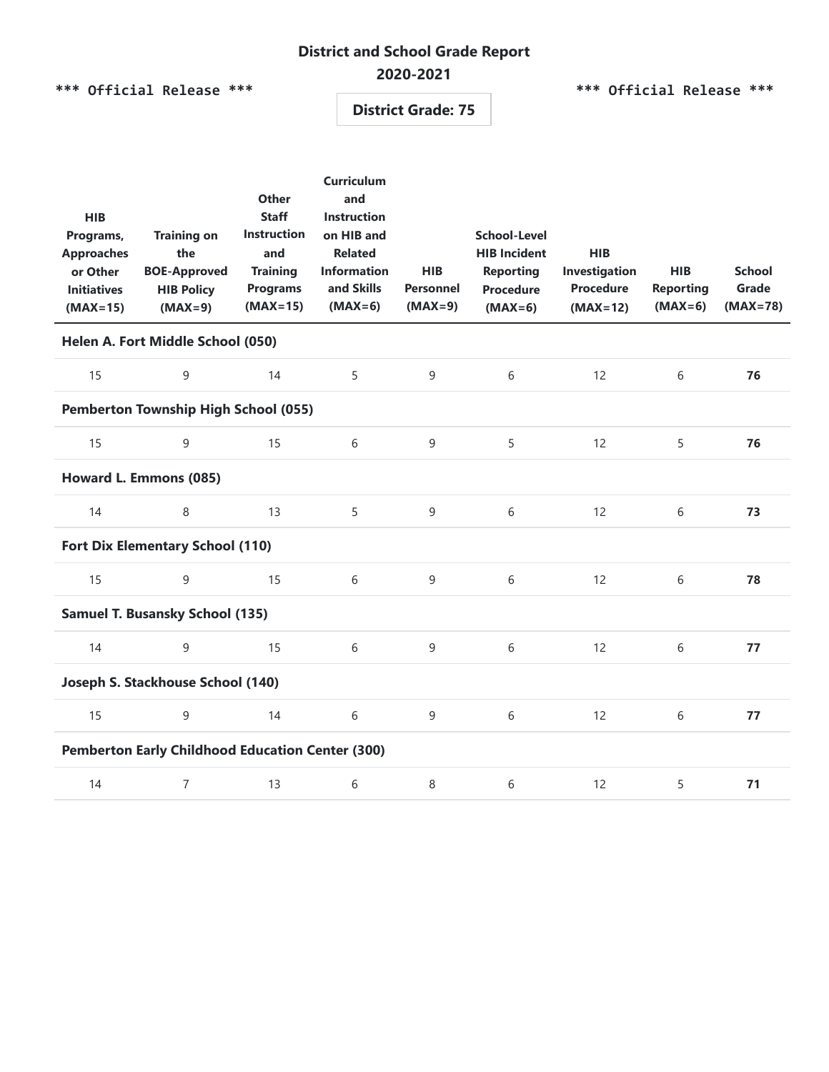# **District and School Grade Report**

### **2020-2021**

**\*\*\* Official Release \*\*\***

**\*\*\* Official Release \*\*\***

**District Grade: 75**

| <b>HIB</b><br>Programs,<br><b>Approaches</b><br>or Other<br><b>Initiatives</b><br>$(MAX=15)$ | <b>Training on</b><br>the<br><b>BOE-Approved</b><br><b>HIB Policy</b><br>$(MAX=9)$ | <b>Other</b><br><b>Staff</b><br><b>Instruction</b><br>and<br><b>Training</b><br><b>Programs</b><br>$(MAX=15)$ | <b>Curriculum</b><br>and<br><b>Instruction</b><br>on HIB and<br><b>Related</b><br><b>Information</b><br>and Skills<br>$(MAX=6)$ | <b>HIB</b><br><b>Personnel</b><br>$(MAX=9)$ | <b>School-Level</b><br><b>HIB Incident</b><br><b>Reporting</b><br><b>Procedure</b><br>$(MAX=6)$ | <b>HIB</b><br>Investigation<br><b>Procedure</b><br>$(MAX=12)$ | <b>HIB</b><br><b>Reporting</b><br>$(MAX=6)$ | <b>School</b><br>Grade<br>$(MAX=78)$ |  |
|----------------------------------------------------------------------------------------------|------------------------------------------------------------------------------------|---------------------------------------------------------------------------------------------------------------|---------------------------------------------------------------------------------------------------------------------------------|---------------------------------------------|-------------------------------------------------------------------------------------------------|---------------------------------------------------------------|---------------------------------------------|--------------------------------------|--|
| Helen A. Fort Middle School (050)                                                            |                                                                                    |                                                                                                               |                                                                                                                                 |                                             |                                                                                                 |                                                               |                                             |                                      |  |
| 15                                                                                           | 9                                                                                  | 14                                                                                                            | 5                                                                                                                               | $\mathsf 9$                                 | 6                                                                                               | 12                                                            | 6                                           | 76                                   |  |
| <b>Pemberton Township High School (055)</b>                                                  |                                                                                    |                                                                                                               |                                                                                                                                 |                                             |                                                                                                 |                                                               |                                             |                                      |  |
| 15                                                                                           | 9                                                                                  | 15                                                                                                            | 6                                                                                                                               | 9                                           | 5                                                                                               | 12                                                            | 5                                           | 76                                   |  |
| Howard L. Emmons (085)                                                                       |                                                                                    |                                                                                                               |                                                                                                                                 |                                             |                                                                                                 |                                                               |                                             |                                      |  |
| 14                                                                                           | 8                                                                                  | 13                                                                                                            | 5                                                                                                                               | $\mathsf 9$                                 | $6\,$                                                                                           | 12                                                            | 6                                           | 73                                   |  |
| <b>Fort Dix Elementary School (110)</b>                                                      |                                                                                    |                                                                                                               |                                                                                                                                 |                                             |                                                                                                 |                                                               |                                             |                                      |  |
| 15                                                                                           | 9                                                                                  | 15                                                                                                            | 6                                                                                                                               | $\overline{9}$                              | 6                                                                                               | 12                                                            | 6                                           | 78                                   |  |
| <b>Samuel T. Busansky School (135)</b>                                                       |                                                                                    |                                                                                                               |                                                                                                                                 |                                             |                                                                                                 |                                                               |                                             |                                      |  |
| 14                                                                                           | 9                                                                                  | 15                                                                                                            | 6                                                                                                                               | 9                                           | 6                                                                                               | 12                                                            | 6                                           | 77                                   |  |
| Joseph S. Stackhouse School (140)                                                            |                                                                                    |                                                                                                               |                                                                                                                                 |                                             |                                                                                                 |                                                               |                                             |                                      |  |
| 15                                                                                           | 9                                                                                  | 14                                                                                                            | 6                                                                                                                               | 9                                           | 6                                                                                               | 12                                                            | 6                                           | 77                                   |  |
| <b>Pemberton Early Childhood Education Center (300)</b>                                      |                                                                                    |                                                                                                               |                                                                                                                                 |                                             |                                                                                                 |                                                               |                                             |                                      |  |
| 14                                                                                           | $\overline{7}$                                                                     | 13                                                                                                            | 6                                                                                                                               | 8                                           | 6                                                                                               | 12                                                            | 5                                           | 71                                   |  |